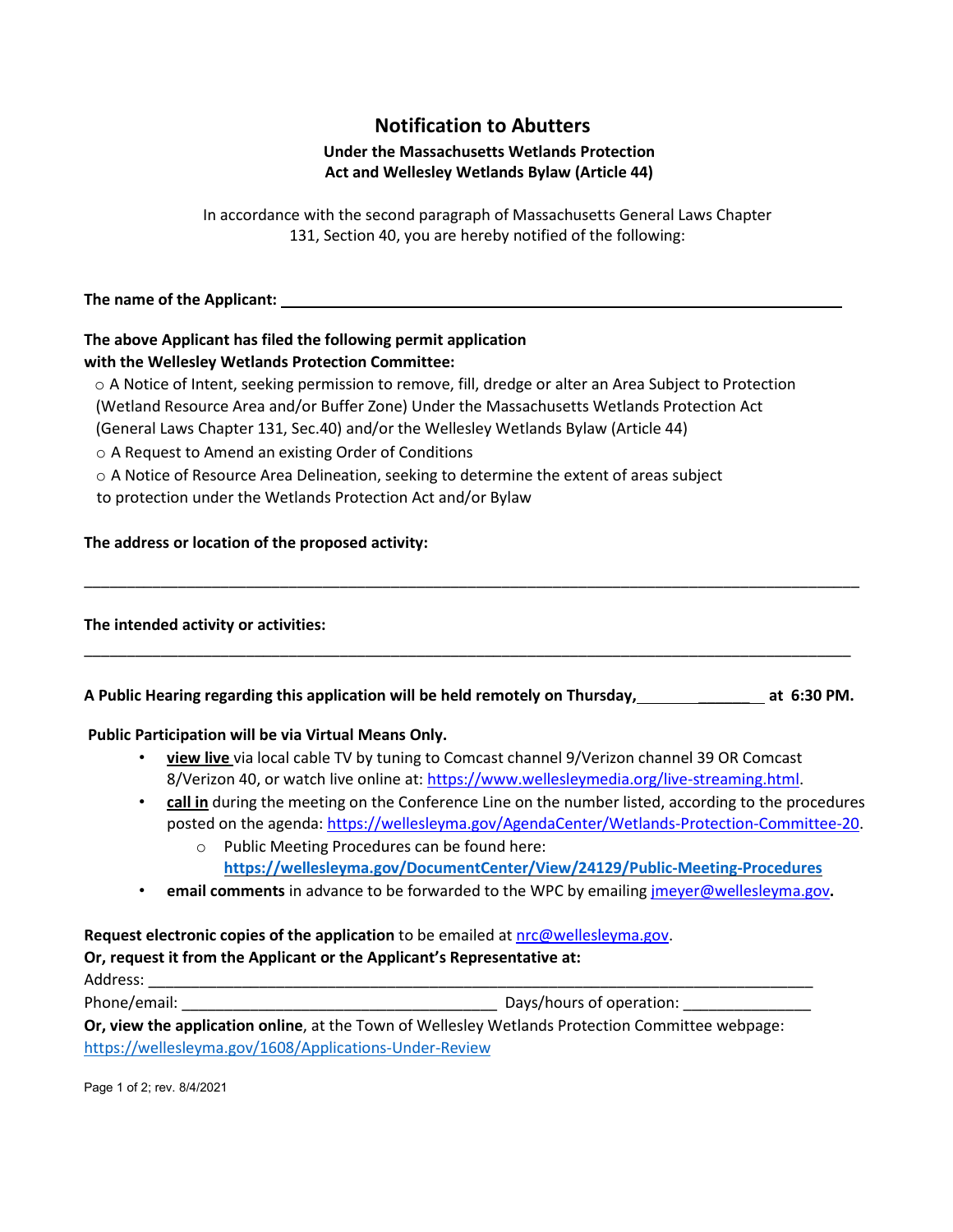# **Notification to Abutters**

### **Under the Massachusetts Wetlands Protection Act and Wellesley Wetlands Bylaw (Article 44)**

In accordance with the second paragraph of Massachusetts General Laws Chapter 131, Section 40, you are hereby notified of the following:

**The name of the Applicant:**

# **The above Applicant has filed the following permit application with the Wellesley Wetlands Protection Committee:**

o A Notice of Intent, seeking permission to remove, fill, dredge or alter an Area Subject to Protection (Wetland Resource Area and/or Buffer Zone) Under the Massachusetts Wetlands Protection Act

(General Laws Chapter 131, Sec.40) and/or the Wellesley Wetlands Bylaw (Article 44)

o A Request to Amend an existing Order of Conditions

o A Notice of Resource Area Delineation, seeking to determine the extent of areas subject

to protection under the Wetlands Protection Act and/or Bylaw

#### **The address or location of the proposed activity:**

#### **The intended activity or activities:**

| A Public Hearing regarding this application will be held remotely on Thursday, | at 6:30 PM. |
|--------------------------------------------------------------------------------|-------------|
|--------------------------------------------------------------------------------|-------------|

\_\_\_\_\_\_\_\_\_\_\_\_\_\_\_\_\_\_\_\_\_\_\_\_\_\_\_\_\_\_\_\_\_\_\_\_\_\_\_\_\_\_\_\_\_\_\_\_\_\_\_\_\_\_\_\_\_\_\_\_\_\_\_\_\_\_\_\_\_\_\_\_\_\_\_\_\_\_\_\_\_\_\_\_\_\_\_\_\_\_

\_\_\_\_\_\_\_\_\_\_\_\_\_\_\_\_\_\_\_\_\_\_\_\_\_\_\_\_\_\_\_\_\_\_\_\_\_\_\_\_\_\_\_\_\_\_\_\_\_\_\_\_\_\_\_\_\_\_\_\_\_\_\_\_\_\_\_\_\_\_\_\_\_\_\_\_\_\_\_\_\_\_\_\_\_\_\_\_\_\_\_

#### **Public Participation will be via Virtual Means Only.**

- **view live** via local cable TV by tuning to Comcast channel 9/Verizon channel 39 OR Comcast 8/Verizon 40, or watch live online at: https://www.wellesleymedia.org/live‐streaming.html.
- **call in** during the meeting on the Conference Line on the number listed, according to the procedures posted on the agenda: https://wellesleyma.gov/AgendaCenter/Wetlands‐Protection‐Committee‐20.
	- o Public Meeting Procedures can be found here: **<https://wellesleyma.gov/DocumentCenter/View/24129/Public-Meeting-Procedures>**
- **email comments** in advance to be forwarded to the WPC by emailing jmeyer@wellesleyma.gov**.**

## **Request electronic copies of the application** to be emailed at nrc@wellesleyma.gov.

#### **Or, request it from the Applicant or the Applicant's Representative at:**

Address: \_\_\_\_\_\_\_\_\_\_\_\_\_\_\_\_\_\_\_\_\_\_\_\_\_\_\_\_\_\_\_\_\_\_\_\_\_\_\_\_\_\_\_\_\_\_\_\_\_\_\_\_\_\_\_\_\_\_\_\_\_\_\_\_\_\_\_\_\_\_\_\_\_\_\_\_\_\_

Phone/email: \_\_\_\_\_\_\_\_\_\_\_\_\_\_\_\_\_\_\_\_\_\_\_\_\_\_\_\_\_\_\_\_\_\_\_\_\_ Days/hours of operation: \_\_\_\_\_\_\_\_\_\_\_\_\_\_\_

**Or, view the application online**, at the Town of Wellesley Wetlands Protection Committee webpage: <https://wellesleyma.gov/1608/Applications-Under-Review>

Page 1 of 2; rev. 8/4/2021